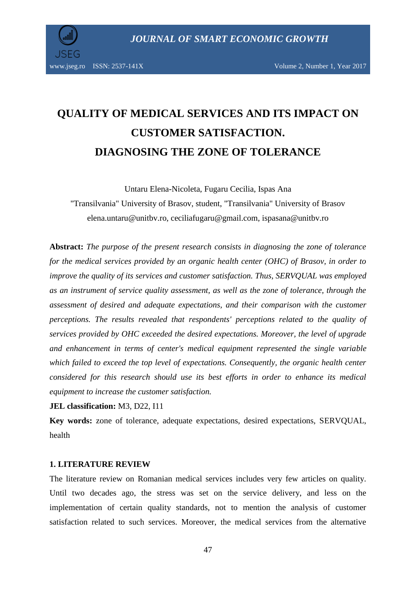

www.jseg.ro ISSN: 2537-141X Volume 2, Number 1, Year 2017

# **QUALITY OF MEDICAL SERVICES AND ITS IMPACT ON CUSTOMER SATISFACTION. DIAGNOSING THE ZONE OF TOLERANCE**

Untaru Elena-Nicoleta, Fugaru Cecilia, Ispas Ana

"Transilvania" University of Brasov, student, "Transilvania" University of Brasov elena.untaru@unitbv.ro, ceciliafugaru@gmail.com, ispasana@unitbv.ro

**Abstract:** *The purpose of the present research consists in diagnosing the zone of tolerance for the medical services provided by an organic health center (OHC) of Brasov, in order to improve the quality of its services and customer satisfaction. Thus, SERVQUAL was employed as an instrument of service quality assessment, as well as the zone of tolerance, through the assessment of desired and adequate expectations, and their comparison with the customer perceptions. The results revealed that respondents' perceptions related to the quality of services provided by OHC exceeded the desired expectations. Moreover, the level of upgrade and enhancement in terms of center's medical equipment represented the single variable which failed to exceed the top level of expectations. Consequently, the organic health center considered for this research should use its best efforts in order to enhance its medical equipment to increase the customer satisfaction.* 

**JEL classification:** M3, D22, I11

**Key words:** zone of tolerance, adequate expectations, desired expectations, SERVQUAL, health

# **1. LITERATURE REVIEW**

The literature review on Romanian medical services includes very few articles on quality. Until two decades ago, the stress was set on the service delivery, and less on the implementation of certain quality standards, not to mention the analysis of customer satisfaction related to such services. Moreover, the medical services from the alternative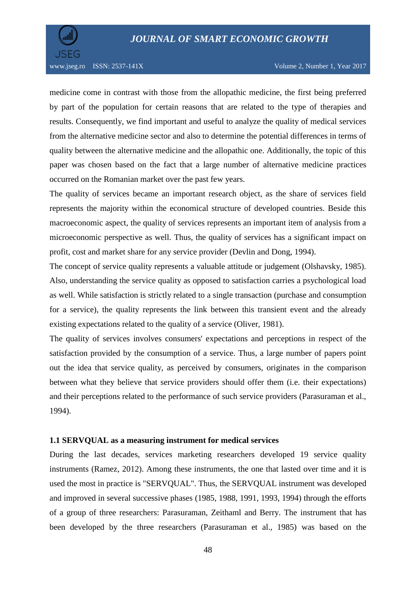

medicine come in contrast with those from the allopathic medicine, the first being preferred by part of the population for certain reasons that are related to the type of therapies and results. Consequently, we find important and useful to analyze the quality of medical services from the alternative medicine sector and also to determine the potential differences in terms of quality between the alternative medicine and the allopathic one. Additionally, the topic of this paper was chosen based on the fact that a large number of alternative medicine practices occurred on the Romanian market over the past few years.

The quality of services became an important research object, as the share of services field represents the majority within the economical structure of developed countries. Beside this macroeconomic aspect, the quality of services represents an important item of analysis from a microeconomic perspective as well. Thus, the quality of services has a significant impact on profit, cost and market share for any service provider (Devlin and Dong, 1994).

The concept of service quality represents a valuable attitude or judgement (Olshavsky, 1985). Also, understanding the service quality as opposed to satisfaction carries a psychological load as well. While satisfaction is strictly related to a single transaction (purchase and consumption for a service), the quality represents the link between this transient event and the already existing expectations related to the quality of a service (Oliver, 1981).

The quality of services involves consumers' expectations and perceptions in respect of the satisfaction provided by the consumption of a service. Thus, a large number of papers point out the idea that service quality, as perceived by consumers, originates in the comparison between what they believe that service providers should offer them (i.e. their expectations) and their perceptions related to the performance of such service providers (Parasuraman et al., 1994).

### **1.1 SERVQUAL as a measuring instrument for medical services**

During the last decades, services marketing researchers developed 19 service quality instruments (Ramez, 2012). Among these instruments, the one that lasted over time and it is used the most in practice is "SERVQUAL". Thus, the SERVQUAL instrument was developed and improved in several successive phases (1985, 1988, 1991, 1993, 1994) through the efforts of a group of three researchers: Parasuraman, Zeithaml and Berry. The instrument that has been developed by the three researchers (Parasuraman et al., 1985) was based on the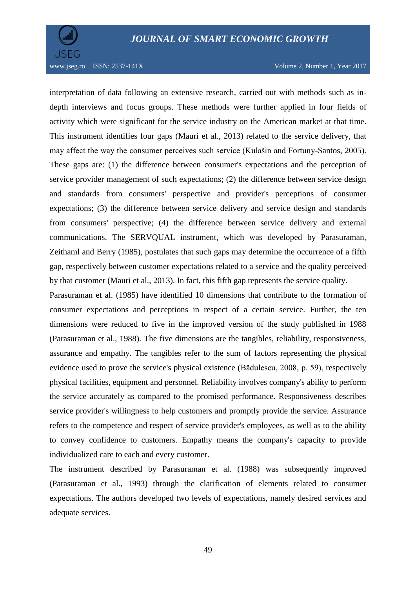

www.jseg.ro ISSN: 2537-141X Volume 2, Number 1, Year 2017

interpretation of data following an extensive research, carried out with methods such as indepth interviews and focus groups. These methods were further applied in four fields of activity which were significant for the service industry on the American market at that time. This instrument identifies four gaps (Mauri et al., 2013) related to the service delivery, that may affect the way the consumer perceives such service (Kulašin and Fortuny-Santos, 2005). These gaps are: (1) the difference between consumer's expectations and the perception of service provider management of such expectations; (2) the difference between service design and standards from consumers' perspective and provider's perceptions of consumer expectations; (3) the difference between service delivery and service design and standards from consumers' perspective; (4) the difference between service delivery and external communications. The SERVQUAL instrument, which was developed by Parasuraman, Zeithaml and Berry (1985), postulates that such gaps may determine the occurrence of a fifth gap, respectively between customer expectations related to a service and the quality perceived by that customer (Mauri et al., 2013). In fact, this fifth gap represents the service quality.

Parasuraman et al. (1985) have identified 10 dimensions that contribute to the formation of consumer expectations and perceptions in respect of a certain service. Further, the ten dimensions were reduced to five in the improved version of the study published in 1988 (Parasuraman et al., 1988). The five dimensions are the tangibles, reliability, responsiveness, assurance and empathy. The tangibles refer to the sum of factors representing the physical evidence used to prove the service's physical existence (Bădulescu, 2008, p. 59), respectively physical facilities, equipment and personnel. Reliability involves company's ability to perform the service accurately as compared to the promised performance. Responsiveness describes service provider's willingness to help customers and promptly provide the service. Assurance refers to the competence and respect of service provider's employees, as well as to the ability to convey confidence to customers. Empathy means the company's capacity to provide individualized care to each and every customer.

The instrument described by Parasuraman et al. (1988) was subsequently improved (Parasuraman et al., 1993) through the clarification of elements related to consumer expectations. The authors developed two levels of expectations, namely desired services and adequate services.

49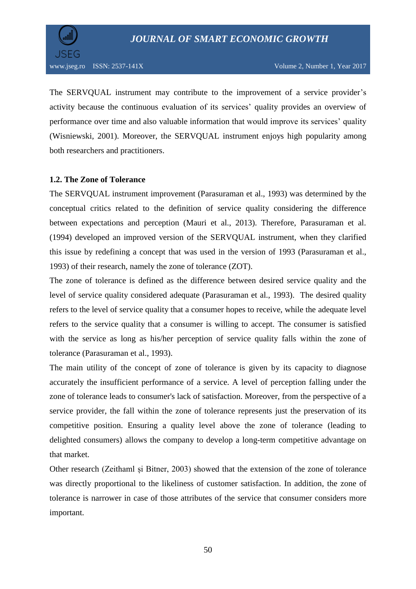

The SERVQUAL instrument may contribute to the improvement of a service provider's activity because the continuous evaluation of its services' quality provides an overview of performance over time and also valuable information that would improve its services' quality (Wisniewski, 2001). Moreover, the SERVQUAL instrument enjoys high popularity among both researchers and practitioners.

# **1.2. The Zone of Tolerance**

The SERVQUAL instrument improvement (Parasuraman et al., 1993) was determined by the conceptual critics related to the definition of service quality considering the difference between expectations and perception (Mauri et al., 2013). Therefore, Parasuraman et al. (1994) developed an improved version of the SERVQUAL instrument, when they clarified this issue by redefining a concept that was used in the version of 1993 (Parasuraman et al., 1993) of their research, namely the zone of tolerance (ZOT).

The zone of tolerance is defined as the difference between desired service quality and the level of service quality considered adequate (Parasuraman et al., 1993). The desired quality refers to the level of service quality that a consumer hopes to receive, while the adequate level refers to the service quality that a consumer is willing to accept. The consumer is satisfied with the service as long as his/her perception of service quality falls within the zone of tolerance (Parasuraman et al., 1993).

The main utility of the concept of zone of tolerance is given by its capacity to diagnose accurately the insufficient performance of a service. A level of perception falling under the zone of tolerance leads to consumer's lack of satisfaction. Moreover, from the perspective of a service provider, the fall within the zone of tolerance represents just the preservation of its competitive position. Ensuring a quality level above the zone of tolerance (leading to delighted consumers) allows the company to develop a long-term competitive advantage on that market.

Other research (Zeithaml și Bitner, 2003) showed that the extension of the zone of tolerance was directly proportional to the likeliness of customer satisfaction. In addition, the zone of tolerance is narrower in case of those attributes of the service that consumer considers more important.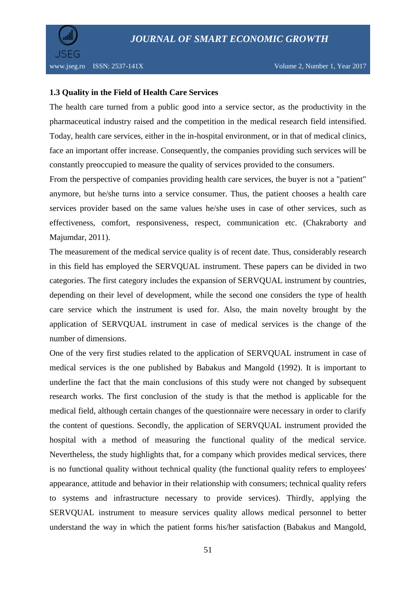

# **1.3 Quality in the Field of Health Care Services**

The health care turned from a public good into a service sector, as the productivity in the pharmaceutical industry raised and the competition in the medical research field intensified. Today, health care services, either in the in-hospital environment, or in that of medical clinics, face an important offer increase. Consequently, the companies providing such services will be constantly preoccupied to measure the quality of services provided to the consumers.

From the perspective of companies providing health care services, the buyer is not a "patient" anymore, but he/she turns into a service consumer. Thus, the patient chooses a health care services provider based on the same values he/she uses in case of other services, such as effectiveness, comfort, responsiveness, respect, communication etc. (Chakraborty and Majumdar, 2011).

The measurement of the medical service quality is of recent date. Thus, considerably research in this field has employed the SERVQUAL instrument. These papers can be divided in two categories. The first category includes the expansion of SERVQUAL instrument by countries, depending on their level of development, while the second one considers the type of health care service which the instrument is used for. Also, the main novelty brought by the application of SERVQUAL instrument in case of medical services is the change of the number of dimensions.

One of the very first studies related to the application of SERVQUAL instrument in case of medical services is the one published by Babakus and Mangold (1992). It is important to underline the fact that the main conclusions of this study were not changed by subsequent research works. The first conclusion of the study is that the method is applicable for the medical field, although certain changes of the questionnaire were necessary in order to clarify the content of questions. Secondly, the application of SERVQUAL instrument provided the hospital with a method of measuring the functional quality of the medical service. Nevertheless, the study highlights that, for a company which provides medical services, there is no functional quality without technical quality (the functional quality refers to employees' appearance, attitude and behavior in their relationship with consumers; technical quality refers to systems and infrastructure necessary to provide services). Thirdly, applying the SERVQUAL instrument to measure services quality allows medical personnel to better understand the way in which the patient forms his/her satisfaction (Babakus and Mangold,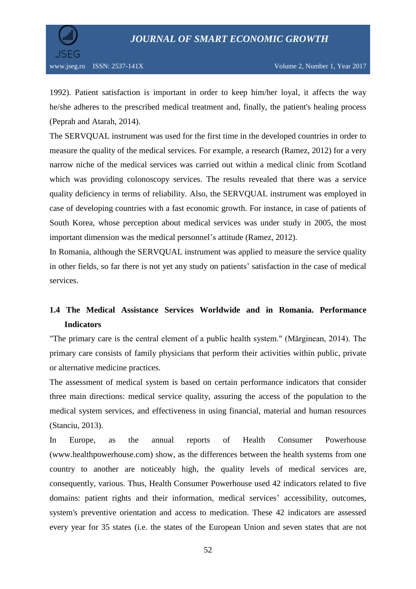

1992). Patient satisfaction is important in order to keep him/her loyal, it affects the way he/she adheres to the prescribed medical treatment and, finally, the patient's healing process (Peprah and Atarah, 2014).

The SERVQUAL instrument was used for the first time in the developed countries in order to measure the quality of the medical services. For example, a research (Ramez, 2012) for a very narrow niche of the medical services was carried out within a medical clinic from Scotland which was providing colonoscopy services. The results revealed that there was a service quality deficiency in terms of reliability. Also, the SERVQUAL instrument was employed in case of developing countries with a fast economic growth. For instance, in case of patients of South Korea, whose perception about medical services was under study in 2005, the most important dimension was the medical personnel's attitude (Ramez, 2012).

In Romania, although the SERVQUAL instrument was applied to measure the service quality in other fields, so far there is not yet any study on patients' satisfaction in the case of medical services.

# **1.4 The Medical Assistance Services Worldwide and in Romania. Performance Indicators**

"The primary care is the central element of a public health system." (Mărginean, 2014). The primary care consists of family physicians that perform their activities within public, private or alternative medicine practices.

The assessment of medical system is based on certain performance indicators that consider three main directions: medical service quality, assuring the access of the population to the medical system services, and effectiveness in using financial, material and human resources (Stanciu, 2013).

In Europe, as the annual reports of Health Consumer Powerhouse [\(www.healthpowerhouse.com\)](http://www.healthpowerhouse.com/) show, as the differences between the health systems from one country to another are noticeably high, the quality levels of medical services are, consequently, various. Thus, Health Consumer Powerhouse used 42 indicators related to five domains: patient rights and their information, medical services' accessibility, outcomes, system's preventive orientation and access to medication. These 42 indicators are assessed every year for 35 states (i.e. the states of the European Union and seven states that are not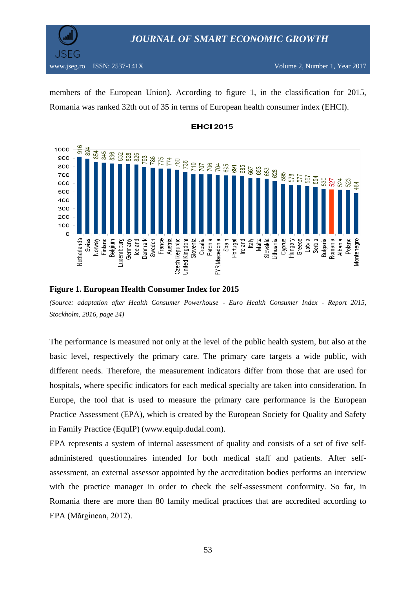

members of the European Union). According to figure 1, in the classification for 2015, Romania was ranked 32th out of 35 in terms of European health consumer index (EHCI).





#### **Figure 1. European Health Consumer Index for 2015**

*(Source: adaptation after Health Consumer Powerhouse - Euro Health Consumer Index - Report 2015, Stockholm, 2016, page 24)*

The performance is measured not only at the level of the public health system, but also at the basic level, respectively the primary care. The primary care targets a wide public, with different needs. Therefore, the measurement indicators differ from those that are used for hospitals, where specific indicators for each medical specialty are taken into consideration. In Europe, the tool that is used to measure the primary care performance is the European Practice Assessment (EPA), which is created by the European Society for Quality and Safety in Family Practice (EquIP) [\(www.equip.dudal.com\)](http://www.equip.dudal.com/).

EPA represents a system of internal assessment of quality and consists of a set of five selfadministered questionnaires intended for both medical staff and patients. After selfassessment, an external assessor appointed by the accreditation bodies performs an interview with the practice manager in order to check the self-assessment conformity. So far, in Romania there are more than 80 family medical practices that are accredited according to EPA (Mărginean, 2012).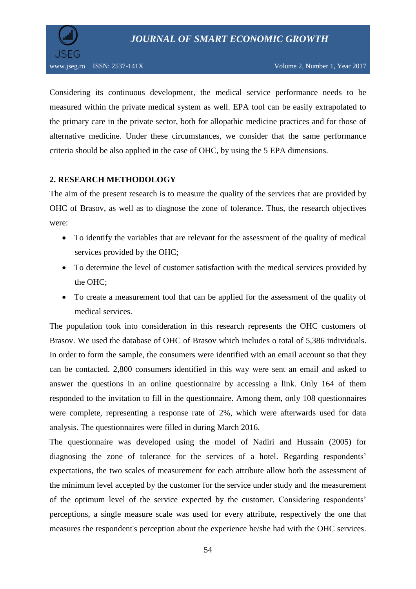

Considering its continuous development, the medical service performance needs to be measured within the private medical system as well. EPA tool can be easily extrapolated to the primary care in the private sector, both for allopathic medicine practices and for those of alternative medicine. Under these circumstances, we consider that the same performance criteria should be also applied in the case of OHC, by using the 5 EPA dimensions.

# **2. RESEARCH METHODOLOGY**

The aim of the present research is to measure the quality of the services that are provided by OHC of Brasov, as well as to diagnose the zone of tolerance. Thus, the research objectives were:

- To identify the variables that are relevant for the assessment of the quality of medical services provided by the OHC;
- To determine the level of customer satisfaction with the medical services provided by the OHC;
- To create a measurement tool that can be applied for the assessment of the quality of medical services.

The population took into consideration in this research represents the OHC customers of Brasov. We used the database of OHC of Brasov which includes o total of 5,386 individuals. In order to form the sample, the consumers were identified with an email account so that they can be contacted. 2,800 consumers identified in this way were sent an email and asked to answer the questions in an online questionnaire by accessing a link. Only 164 of them responded to the invitation to fill in the questionnaire. Among them, only 108 questionnaires were complete, representing a response rate of 2%, which were afterwards used for data analysis. The questionnaires were filled in during March 2016.

The questionnaire was developed using the model of Nadiri and Hussain (2005) for diagnosing the zone of tolerance for the services of a hotel. Regarding respondents' expectations, the two scales of measurement for each attribute allow both the assessment of the minimum level accepted by the customer for the service under study and the measurement of the optimum level of the service expected by the customer. Considering respondents' perceptions, a single measure scale was used for every attribute, respectively the one that measures the respondent's perception about the experience he/she had with the OHC services.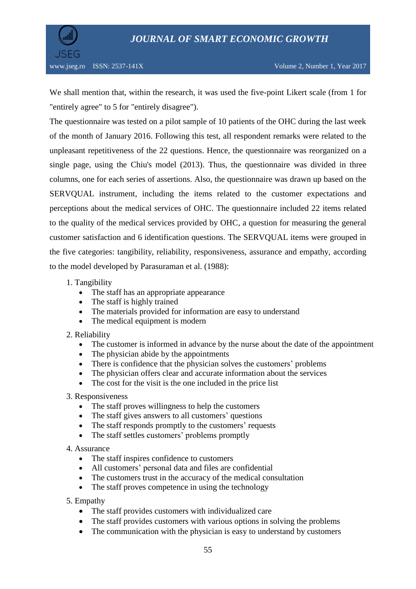

We shall mention that, within the research, it was used the five-point Likert scale (from 1 for "entirely agree" to 5 for "entirely disagree").

The questionnaire was tested on a pilot sample of 10 patients of the OHC during the last week of the month of January 2016. Following this test, all respondent remarks were related to the unpleasant repetitiveness of the 22 questions. Hence, the questionnaire was reorganized on a single page, using the Chiu's model (2013). Thus, the questionnaire was divided in three columns, one for each series of assertions. Also, the questionnaire was drawn up based on the SERVQUAL instrument, including the items related to the customer expectations and perceptions about the medical services of OHC. The questionnaire included 22 items related to the quality of the medical services provided by OHC, a question for measuring the general customer satisfaction and 6 identification questions. The SERVQUAL items were grouped in the five categories: tangibility, reliability, responsiveness, assurance and empathy, according to the model developed by Parasuraman et al. (1988):

1. Tangibility

- The staff has an appropriate appearance
- The staff is highly trained
- The materials provided for information are easy to understand
- The medical equipment is modern
- 2. Reliability
	- The customer is informed in advance by the nurse about the date of the appointment
	- The physician abide by the appointments
	- There is confidence that the physician solves the customers' problems
	- The physician offers clear and accurate information about the services
	- The cost for the visit is the one included in the price list

## 3. Responsiveness

- The staff proves willingness to help the customers
- The staff gives answers to all customers' questions
- The staff responds promptly to the customers' requests
- The staff settles customers' problems promptly

## 4. Assurance

- The staff inspires confidence to customers
- All customers' personal data and files are confidential
- The customers trust in the accuracy of the medical consultation
- The staff proves competence in using the technology
- 5. Empathy
	- The staff provides customers with individualized care
	- The staff provides customers with various options in solving the problems
	- The communication with the physician is easy to understand by customers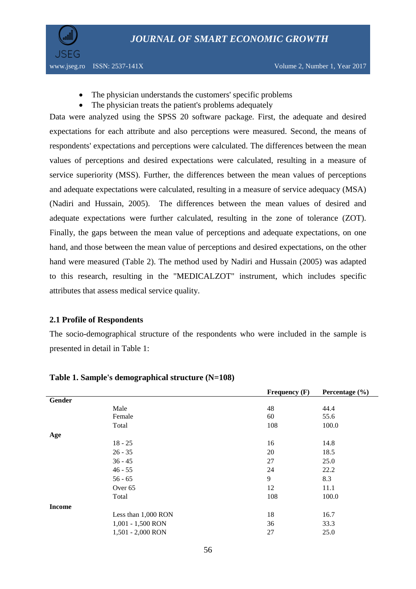

**JSEG** 

- The physician understands the customers' specific problems
- The physician treats the patient's problems adequately

Data were analyzed using the SPSS 20 software package. First, the adequate and desired expectations for each attribute and also perceptions were measured. Second, the means of respondents' expectations and perceptions were calculated. The differences between the mean values of perceptions and desired expectations were calculated, resulting in a measure of service superiority (MSS). Further, the differences between the mean values of perceptions and adequate expectations were calculated, resulting in a measure of service adequacy (MSA) (Nadiri and Hussain, 2005). The differences between the mean values of desired and adequate expectations were further calculated, resulting in the zone of tolerance (ZOT). Finally, the gaps between the mean value of perceptions and adequate expectations, on one hand, and those between the mean value of perceptions and desired expectations, on the other hand were measured (Table 2). The method used by Nadiri and Hussain (2005) was adapted to this research, resulting in the "MEDICALZOT" instrument, which includes specific attributes that assess medical service quality.

#### **2.1 Profile of Respondents**

The socio-demographical structure of the respondents who were included in the sample is presented in detail in Table 1:

|               |                     | Frequency $(F)$ | Percentage $(\% )$ |
|---------------|---------------------|-----------------|--------------------|
| Gender        |                     |                 |                    |
|               | Male                | 48              | 44.4               |
|               | Female              | 60              | 55.6               |
|               | Total               | 108             | 100.0              |
| Age           |                     |                 |                    |
|               | $18 - 25$           | 16              | 14.8               |
|               | $26 - 35$           | 20              | 18.5               |
|               | $36 - 45$           | 27              | 25.0               |
|               | $46 - 55$           | 24              | 22.2               |
|               | $56 - 65$           | 9               | 8.3                |
|               | Over 65             | 12              | 11.1               |
|               | Total               | 108             | 100.0              |
| <b>Income</b> |                     |                 |                    |
|               | Less than 1,000 RON | 18              | 16.7               |
|               | 1,001 - 1,500 RON   | 36              | 33.3               |
|               | 1,501 - 2,000 RON   | 27              | 25.0               |
|               |                     |                 |                    |

#### **Table 1. Sample's demographical structure (N=108)**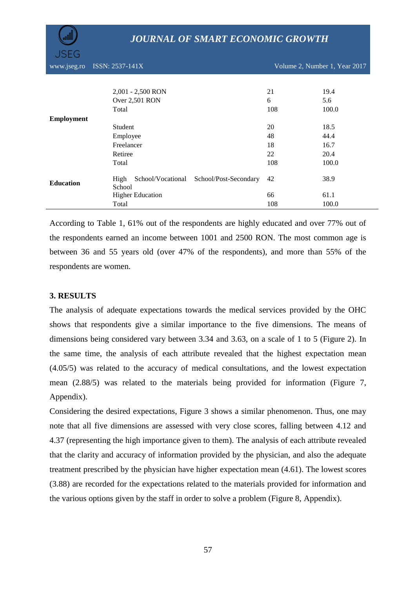| www.jseg.ro       | ISSN: 2537-141X                                           | Volume 2, Number 1, Year 2017 |       |  |
|-------------------|-----------------------------------------------------------|-------------------------------|-------|--|
|                   |                                                           |                               |       |  |
|                   | 2,001 - 2,500 RON                                         | 21                            | 19.4  |  |
|                   | Over 2,501 RON                                            | 6                             | 5.6   |  |
|                   | Total                                                     | 108                           | 100.0 |  |
| <b>Employment</b> |                                                           |                               |       |  |
|                   | Student                                                   | 20                            | 18.5  |  |
|                   | Employee                                                  | 48                            | 44.4  |  |
|                   | Freelancer                                                | 18                            | 16.7  |  |
|                   | Retiree                                                   | 22                            | 20.4  |  |
|                   | Total                                                     | 108                           | 100.0 |  |
| <b>Education</b>  | High<br>School/Vocational School/Post-Secondary<br>School | 42                            | 38.9  |  |
|                   | <b>Higher Education</b>                                   | 66                            | 61.1  |  |
|                   | Total                                                     | 108                           | 100.0 |  |

According to Table 1, 61% out of the respondents are highly educated and over 77% out of the respondents earned an income between 1001 and 2500 RON. The most common age is between 36 and 55 years old (over 47% of the respondents), and more than 55% of the respondents are women.

# **3. RESULTS**

The analysis of adequate expectations towards the medical services provided by the OHC shows that respondents give a similar importance to the five dimensions. The means of dimensions being considered vary between 3.34 and 3.63, on a scale of 1 to 5 (Figure 2). In the same time, the analysis of each attribute revealed that the highest expectation mean (4.05/5) was related to the accuracy of medical consultations, and the lowest expectation mean (2.88/5) was related to the materials being provided for information (Figure 7, Appendix).

Considering the desired expectations, Figure 3 shows a similar phenomenon. Thus, one may note that all five dimensions are assessed with very close scores, falling between 4.12 and 4.37 (representing the high importance given to them). The analysis of each attribute revealed that the clarity and accuracy of information provided by the physician, and also the adequate treatment prescribed by the physician have higher expectation mean (4.61). The lowest scores (3.88) are recorded for the expectations related to the materials provided for information and the various options given by the staff in order to solve a problem (Figure 8, Appendix).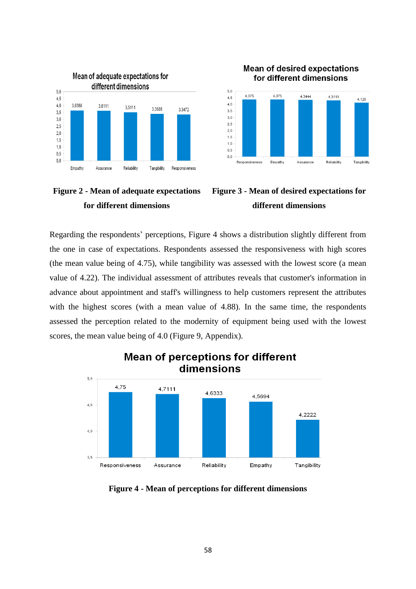

**Mean of desired expectations** for different dimensions







Regarding the respondents' perceptions, Figure 4 shows a distribution slightly different from the one in case of expectations. Respondents assessed the responsiveness with high scores (the mean value being of 4.75), while tangibility was assessed with the lowest score (a mean value of 4.22). The individual assessment of attributes reveals that customer's information in advance about appointment and staff's willingness to help customers represent the attributes with the highest scores (with a mean value of 4.88). In the same time, the respondents assessed the perception related to the modernity of equipment being used with the lowest scores, the mean value being of 4.0 (Figure 9, Appendix).



# **Mean of perceptions for different** dimensions

**Figure 4 - Mean of perceptions for different dimensions**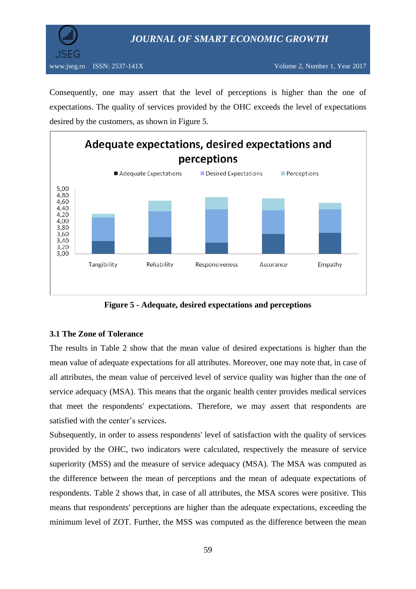

Consequently, one may assert that the level of perceptions is higher than the one of expectations. The quality of services provided by the OHC exceeds the level of expectations desired by the customers, as shown in Figure 5.



**Figure 5 - Adequate, desired expectations and perceptions**

# **3.1 The Zone of Tolerance**

The results in Table 2 show that the mean value of desired expectations is higher than the mean value of adequate expectations for all attributes. Moreover, one may note that, in case of all attributes, the mean value of perceived level of service quality was higher than the one of service adequacy (MSA). This means that the organic health center provides medical services that meet the respondents' expectations. Therefore, we may assert that respondents are satisfied with the center's services.

Subsequently, in order to assess respondents' level of satisfaction with the quality of services provided by the OHC, two indicators were calculated, respectively the measure of service superiority (MSS) and the measure of service adequacy (MSA). The MSA was computed as the difference between the mean of perceptions and the mean of adequate expectations of respondents. Table 2 shows that, in case of all attributes, the MSA scores were positive. This means that respondents' perceptions are higher than the adequate expectations, exceeding the minimum level of ZOT. Further, the MSS was computed as the difference between the mean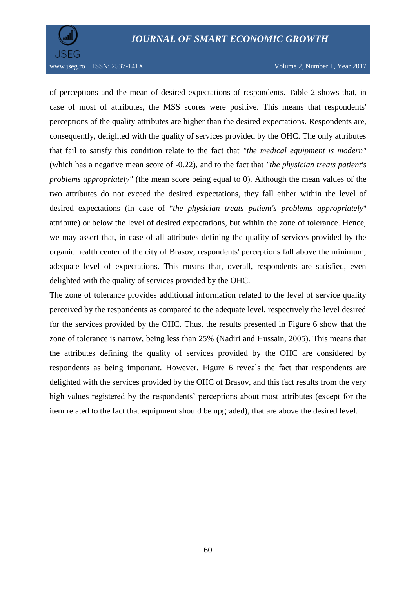

www.jseg.ro ISSN: 2537-141X Volume 2, Number 1, Year 2017

of perceptions and the mean of desired expectations of respondents. Table 2 shows that, in case of most of attributes, the MSS scores were positive. This means that respondents' perceptions of the quality attributes are higher than the desired expectations. Respondents are, consequently, delighted with the quality of services provided by the OHC. The only attributes that fail to satisfy this condition relate to the fact that *"the medical equipment is modern"* (which has a negative mean score of -0.22), and to the fact that *"the physician treats patient's problems appropriately"* (the mean score being equal to 0). Although the mean values of the two attributes do not exceed the desired expectations, they fall either within the level of desired expectations (in case of "*the physician treats patient's problems appropriately*" attribute) or below the level of desired expectations, but within the zone of tolerance. Hence, we may assert that, in case of all attributes defining the quality of services provided by the organic health center of the city of Brasov, respondents' perceptions fall above the minimum, adequate level of expectations. This means that, overall, respondents are satisfied, even delighted with the quality of services provided by the OHC.

The zone of tolerance provides additional information related to the level of service quality perceived by the respondents as compared to the adequate level, respectively the level desired for the services provided by the OHC. Thus, the results presented in Figure 6 show that the zone of tolerance is narrow, being less than 25% (Nadiri and Hussain, 2005). This means that the attributes defining the quality of services provided by the OHC are considered by respondents as being important. However, Figure 6 reveals the fact that respondents are delighted with the services provided by the OHC of Brasov, and this fact results from the very high values registered by the respondents' perceptions about most attributes (except for the item related to the fact that equipment should be upgraded), that are above the desired level.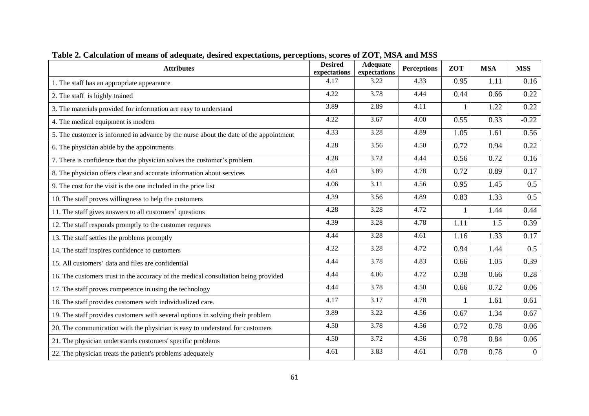| <b>Attributes</b>                                                                     | <b>Desired</b><br>expectations | <b>Adequate</b><br>expectations | <b>Perceptions</b> | <b>ZOT</b> | <b>MSA</b> | <b>MSS</b>     |
|---------------------------------------------------------------------------------------|--------------------------------|---------------------------------|--------------------|------------|------------|----------------|
| 1. The staff has an appropriate appearance                                            |                                | 3.22                            | 4.33               | 0.95       | 1.11       | 0.16           |
| 2. The staff is highly trained                                                        |                                | 3.78                            | 4.44               | 0.44       | 0.66       | 0.22           |
| 3. The materials provided for information are easy to understand                      |                                | 2.89                            | 4.11               | 1          | 1.22       | 0.22           |
| 4. The medical equipment is modern                                                    |                                | 3.67                            | 4.00               | 0.55       | 0.33       | $-0.22$        |
| 5. The customer is informed in advance by the nurse about the date of the appointment |                                | 3.28                            | 4.89               | 1.05       | 1.61       | 0.56           |
| 6. The physician abide by the appointments                                            |                                | 3.56                            | 4.50               | 0.72       | 0.94       | 0.22           |
| 7. There is confidence that the physician solves the customer's problem               |                                | 3.72                            | 4.44               | 0.56       | 0.72       | 0.16           |
| 8. The physician offers clear and accurate information about services                 |                                | 3.89                            | 4.78               | 0.72       | 0.89       | 0.17           |
| 9. The cost for the visit is the one included in the price list                       |                                | 3.11                            | 4.56               | 0.95       | 1.45       | 0.5            |
| 10. The staff proves willingness to help the customers                                |                                | 3.56                            | 4.89               | 0.83       | 1.33       | 0.5            |
| 11. The staff gives answers to all customers' questions                               |                                | 3.28                            | 4.72               | 1          | 1.44       | 0.44           |
| 12. The staff responds promptly to the customer requests                              |                                | 3.28                            | 4.78               | 1.11       | 1.5        | 0.39           |
| 13. The staff settles the problems promptly                                           |                                | 3.28                            | 4.61               | 1.16       | 1.33       | 0.17           |
| 14. The staff inspires confidence to customers                                        |                                | 3.28                            | 4.72               | 0.94       | 1.44       | 0.5            |
| 15. All customers' data and files are confidential                                    |                                | 3.78                            | 4.83               | 0.66       | 1.05       | 0.39           |
| 16. The customers trust in the accuracy of the medical consultation being provided    |                                | 4.06                            | 4.72               | 0.38       | 0.66       | 0.28           |
| 17. The staff proves competence in using the technology                               |                                | 3.78                            | 4.50               | 0.66       | 0.72       | 0.06           |
| 18. The staff provides customers with individualized care.                            |                                | 3.17                            | 4.78               | 1          | 1.61       | 0.61           |
| 19. The staff provides customers with several options in solving their problem        |                                | 3.22                            | 4.56               | 0.67       | 1.34       | 0.67           |
| 20. The communication with the physician is easy to understand for customers          |                                | 3.78                            | 4.56               | 0.72       | 0.78       | 0.06           |
| 21. The physician understands customers' specific problems                            |                                | 3.72                            | 4.56               | 0.78       | 0.84       | 0.06           |
| 22. The physician treats the patient's problems adequately                            |                                | 3.83                            | 4.61               | 0.78       | 0.78       | $\overline{0}$ |

**Table 2. Calculation of means of adequate, desired expectations, perceptions, scores of ZOT, MSA and MSS**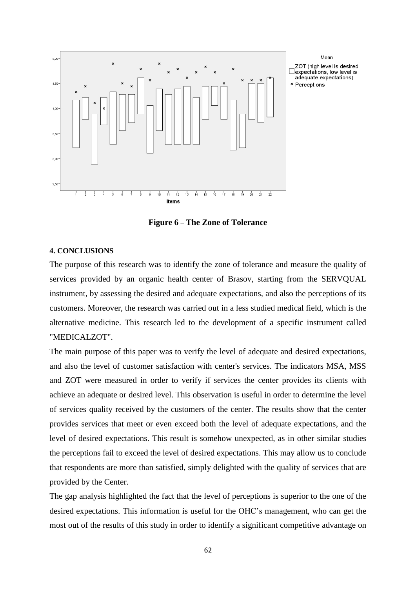

**Figure 6** – **The Zone of Tolerance**

#### **4. CONCLUSIONS**

The purpose of this research was to identify the zone of tolerance and measure the quality of services provided by an organic health center of Brasov, starting from the SERVQUAL instrument, by assessing the desired and adequate expectations, and also the perceptions of its customers. Moreover, the research was carried out in a less studied medical field, which is the alternative medicine. This research led to the development of a specific instrument called "MEDICALZOT".

The main purpose of this paper was to verify the level of adequate and desired expectations, and also the level of customer satisfaction with center's services. The indicators MSA, MSS and ZOT were measured in order to verify if services the center provides its clients with achieve an adequate or desired level. This observation is useful in order to determine the level of services quality received by the customers of the center. The results show that the center provides services that meet or even exceed both the level of adequate expectations, and the level of desired expectations. This result is somehow unexpected, as in other similar studies the perceptions fail to exceed the level of desired expectations. This may allow us to conclude that respondents are more than satisfied, simply delighted with the quality of services that are provided by the Center.

The gap analysis highlighted the fact that the level of perceptions is superior to the one of the desired expectations. This information is useful for the OHC's management, who can get the most out of the results of this study in order to identify a significant competitive advantage on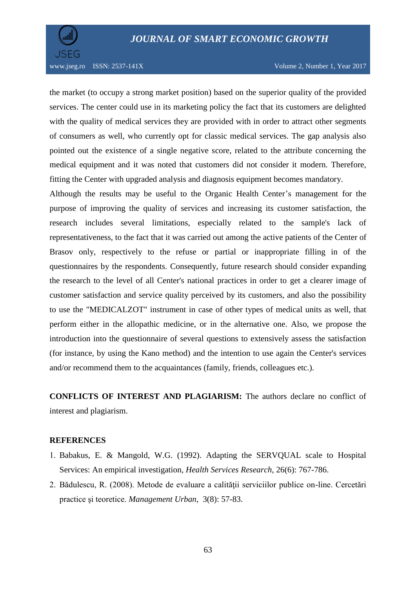

www.jseg.ro ISSN: 2537-141X Volume 2, Number 1, Year 2017

the market (to occupy a strong market position) based on the superior quality of the provided services. The center could use in its marketing policy the fact that its customers are delighted with the quality of medical services they are provided with in order to attract other segments of consumers as well, who currently opt for classic medical services. The gap analysis also pointed out the existence of a single negative score, related to the attribute concerning the medical equipment and it was noted that customers did not consider it modern. Therefore, fitting the Center with upgraded analysis and diagnosis equipment becomes mandatory.

Although the results may be useful to the Organic Health Center's management for the purpose of improving the quality of services and increasing its customer satisfaction, the research includes several limitations, especially related to the sample's lack of representativeness, to the fact that it was carried out among the active patients of the Center of Brasov only, respectively to the refuse or partial or inappropriate filling in of the questionnaires by the respondents. Consequently, future research should consider expanding the research to the level of all Center's national practices in order to get a clearer image of customer satisfaction and service quality perceived by its customers, and also the possibility to use the "MEDICALZOT" instrument in case of other types of medical units as well, that perform either in the allopathic medicine, or in the alternative one. Also, we propose the introduction into the questionnaire of several questions to extensively assess the satisfaction (for instance, by using the Kano method) and the intention to use again the Center's services and/or recommend them to the acquaintances (family, friends, colleagues etc.).

**CONFLICTS OF INTEREST AND PLAGIARISM:** The authors declare no conflict of interest and plagiarism.

## **REFERENCES**

- Babakus, E. & Mangold, W.G. (1992). Adapting the SERVQUAL scale to Hospital Services: An empirical investigation, *Health Services Research*, 26(6): 767-786.
- 2. Bădulescu, R. (2008). Metode de evaluare a calității serviciilor publice on-line. Cercetări practice şi teoretice. *Management Urban*, 3(8): 57-83.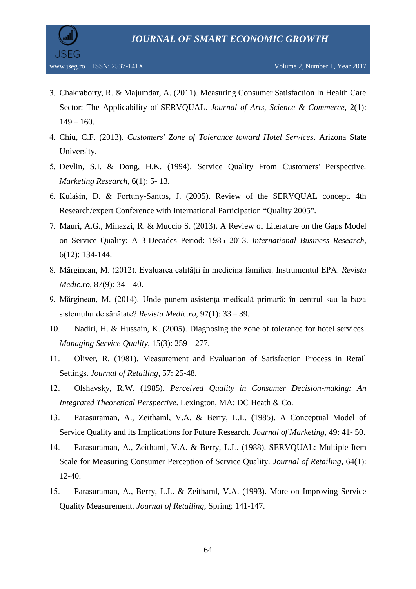

- Chakraborty, R. & Majumdar, A. (2011). Measuring Consumer Satisfaction In Health Care Sector: The Applicability of SERVQUAL. *Journal of Arts, Science & Commerce*, 2(1):  $149 - 160.$
- Chiu, C.F. (2013). *Customers' Zone of Tolerance toward Hotel Services*. Arizona State University.
- 5. Devlin, S.I. & Dong, H.K. (1994). Service Quality From Customers' Perspective. *Marketing Research*, 6(1): 5- 13.
- 6. Kulašin, D. & Fortuny-Santos, J. (2005). Review of the SERVOUAL concept. 4th Research/expert Conference with International Participation "Quality 2005".
- Mauri, A.G., Minazzi, R. & Muccio S. (2013). A Review of Literature on the Gaps Model on Service Quality: A 3-Decades Period: 1985–2013. *International Business Research*, 6(12): 134-144.
- Mărginean, M. (2012). Evaluarea calității în medicina familiei. Instrumentul EPA. *Revista Medic.ro*, 87(9): 34 – 40.
- Mărginean, M. (2014). Unde punem asistența medicală primară: în centrul sau la baza sistemului de sănătate? *Revista Medic.ro*, 97(1): 33 – 39.
- 10. Nadiri, H. & Hussain, K. (2005). Diagnosing the zone of tolerance for hotel services. *Managing Service Quality*, 15(3): 259 – 277.
- Oliver, R. (1981). Measurement and Evaluation of Satisfaction Process in Retail Settings. *Journal of Retailing*, 57: 25-48.
- Olshavsky, R.W. (1985). *Perceived Quality in Consumer Decision-making: An Integrated Theoretical Perspective*. Lexington, MA: DC Heath & Co.
- Parasuraman, A., Zeithaml, V.A. & Berry, L.L. (1985). A Conceptual Model of Service Quality and its Implications for Future Research. *Journal of Marketing*, 49: 41- 50.
- Parasuraman, A., Zeithaml, V.A. & Berry, L.L. (1988). SERVQUAL: Multiple-Item Scale for Measuring Consumer Perception of Service Quality. *Journal of Retailing*, 64(1): 12-40.
- Parasuraman, A., Berry, L.L. & Zeithaml, V.A. (1993). More on Improving Service Quality Measurement. *Journal of Retailing*, Spring: 141-147.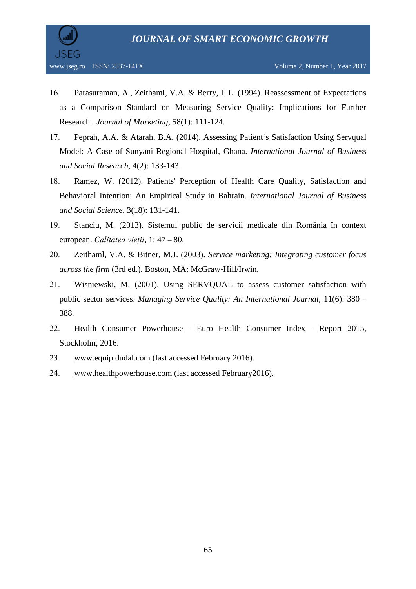

- Parasuraman, A., Zeithaml, V.A. & Berry, L.L. (1994). Reassessment of Expectations as a Comparison Standard on Measuring Service Quality: Implications for Further Research. *Journal of Marketing*, 58(1): 111-124.
- Peprah, A.A. & Atarah, B.A. (2014). Assessing Patient's Satisfaction Using Servqual Model: A Case of Sunyani Regional Hospital, Ghana. *International Journal of Business and Social Research*, 4(2): 133-143.
- Ramez, W. (2012). Patients' Perception of Health Care Quality, Satisfaction and Behavioral Intention: An Empirical Study in Bahrain. *International Journal of Business and Social Science*, 3(18): 131-141.
- Stanciu, M. (2013). Sistemul public de servicii medicale din România în context european. *Calitatea vieții*, 1: 47 – 80.
- Zeithaml, V.A. & Bitner, M.J. (2003). *Service marketing: Integrating customer focus across the firm* (3rd ed.). Boston, MA: McGraw-Hill/Irwin,
- Wisniewski, M. (2001). Using SERVQUAL to assess customer satisfaction with public sector services. *Managing Service Quality: An International Journal*, 11(6): 380 – 388.
- Health Consumer Powerhouse Euro Health Consumer Index Report 2015, Stockholm, 2016.
- [www.equip.dudal.com](http://www.equip.dudal.com/) (last accessed February 2016).
- [www.healthpowerhouse.com](http://www.healthpowerhouse.com/) (last accessed February2016).